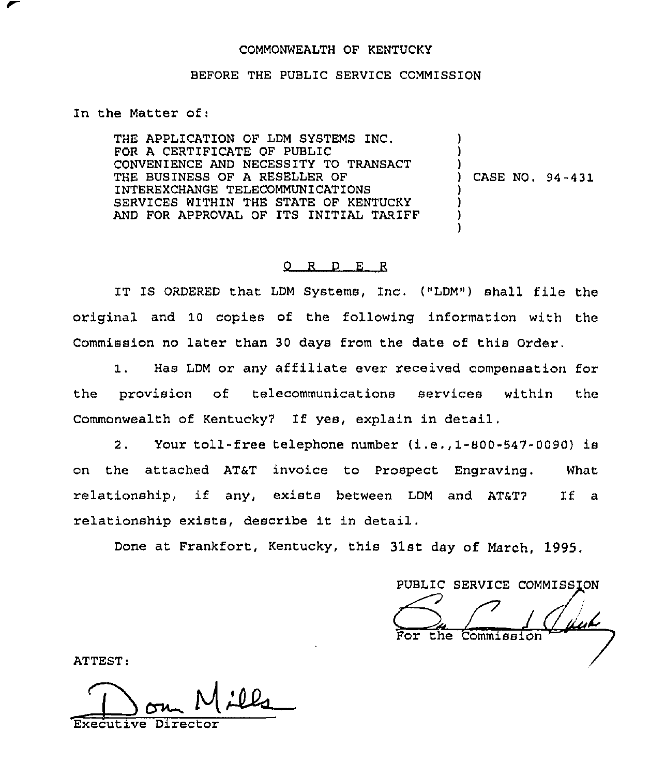### COMMONWEALTH OF KENTUCKY

#### BEFORE THE PUBLIC SERVICE COMMISSION

In the Matter of:

THE APPLICATION OF LDM SYSTEMS INC. FOR A CERTIFICATE OF PUBLIC CONVENIENCE AND NECESSITY TO TRANSACT THE BUSINESS OF A RESELLER OF INTEREXCHANGE TELECOMMUNICATIONS SERVICES WITHIN THE STATE OF KENTUCKY AND FOR APPROVAL OF ITS INITIAL TARIFF ) ) ) ) CASE NO. 94 -431 ) ) )

)

### 0 R <sup>D</sup> E <sup>R</sup>

IT IS ORDERED that LDM Systems, Inc. ("LDM") shall file the original and 10 copies of the following information with the Commission no later than 30 days from the date of this Order.

1. Has LDM or any affiliate ever received compensation for the provision of telecommunications services within the Commonwealth of Kentucky7 If yes, explain in detail.

2. Your toll-free telephone number (i.e.,1-800-547-0090) is on the attached AT&T invoice to Prospect Engraving. What relationship, if any, exists between LDM and AT&T? If a relationship exists, describe it in detail.

Done at Frankfort, Kentucky, this 31st day of March, 1995,

PUBLIC SERVICE COMMISSION the Commission

ATTEST:

Executive Director